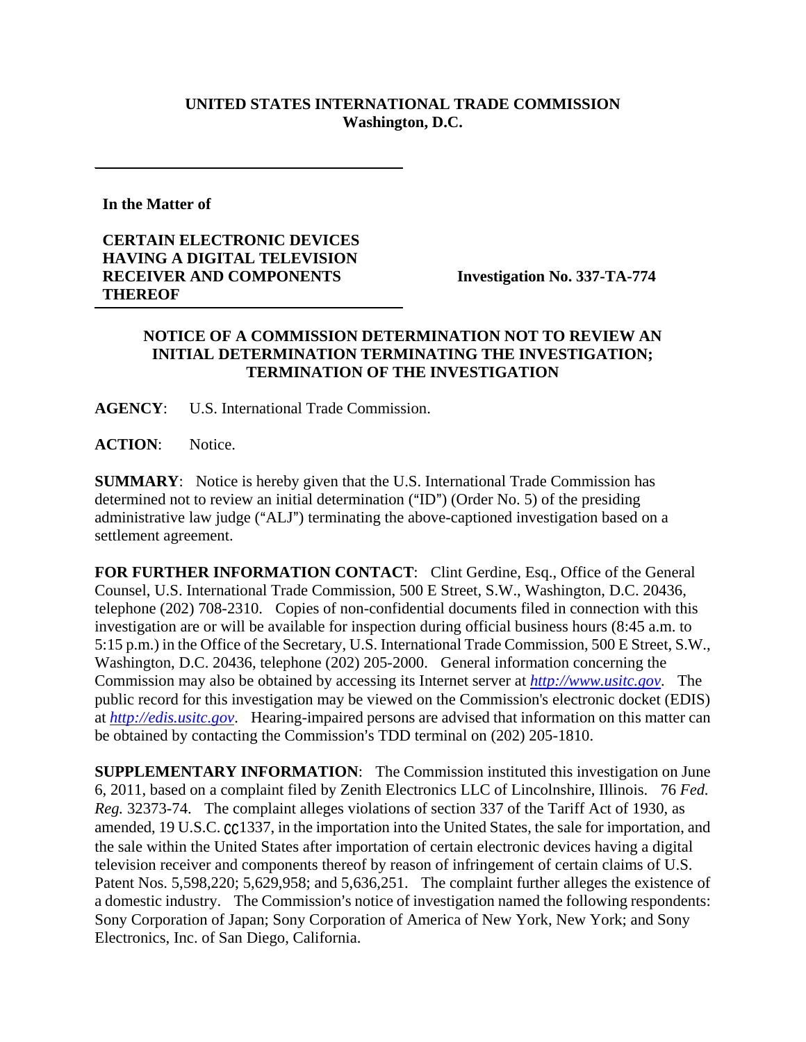## **UNITED STATES INTERNATIONAL TRADE COMMISSION Washington, D.C.**

**In the Matter of** 

## **CERTAIN ELECTRONIC DEVICES HAVING A DIGITAL TELEVISION RECEIVER AND COMPONENTS THEREOF**

**Investigation No. 337-TA-774** 

## **NOTICE OF A COMMISSION DETERMINATION NOT TO REVIEW AN INITIAL DETERMINATION TERMINATING THE INVESTIGATION; TERMINATION OF THE INVESTIGATION**

**AGENCY**: U.S. International Trade Commission.

**ACTION**: Notice.

**SUMMARY**: Notice is hereby given that the U.S. International Trade Commission has determined not to review an initial determination ("ID") (Order No. 5) of the presiding administrative law judge ("ALJ") terminating the above-captioned investigation based on a settlement agreement.

FOR FURTHER INFORMATION CONTACT: Clint Gerdine, Esq., Office of the General Counsel, U.S. International Trade Commission, 500 E Street, S.W., Washington, D.C. 20436, telephone (202) 708-2310. Copies of non-confidential documents filed in connection with this investigation are or will be available for inspection during official business hours (8:45 a.m. to 5:15 p.m.) in the Office of the Secretary, U.S. International Trade Commission, 500 E Street, S.W., Washington, D.C. 20436, telephone (202) 205-2000. General information concerning the Commission may also be obtained by accessing its Internet server at *http://www.usitc.gov*. The public record for this investigation may be viewed on the Commission's electronic docket (EDIS) at *http://edis.usitc.gov*. Hearing-impaired persons are advised that information on this matter can be obtained by contacting the Commission's TDD terminal on (202) 205-1810.

**SUPPLEMENTARY INFORMATION**: The Commission instituted this investigation on June 6, 2011, based on a complaint filed by Zenith Electronics LLC of Lincolnshire, Illinois. 76 *Fed. Reg.* 32373-74. The complaint alleges violations of section 337 of the Tariff Act of 1930, as amended, 19 U.S.C.  $\text{Cc}$ 1337, in the importation into the United States, the sale for importation, and the sale within the United States after importation of certain electronic devices having a digital television receiver and components thereof by reason of infringement of certain claims of U.S. Patent Nos. 5,598,220; 5,629,958; and 5,636,251. The complaint further alleges the existence of a domestic industry. The Commission's notice of investigation named the following respondents: Sony Corporation of Japan; Sony Corporation of America of New York, New York; and Sony Electronics, Inc. of San Diego, California.